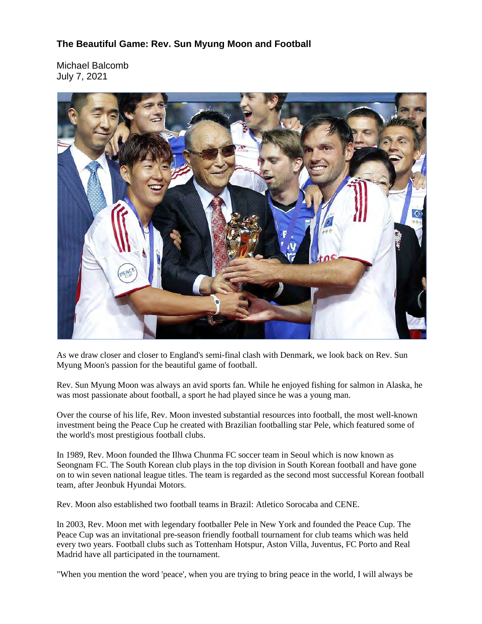## **The Beautiful Game: Rev. Sun Myung Moon and Football**

Michael Balcomb July 7, 2021



As we draw closer and closer to England's semi-final clash with Denmark, we look back on Rev. Sun Myung Moon's passion for the beautiful game of football.

Rev. Sun Myung Moon was always an avid sports fan. While he enjoyed fishing for salmon in Alaska, he was most passionate about football, a sport he had played since he was a young man.

Over the course of his life, Rev. Moon invested substantial resources into football, the most well-known investment being the Peace Cup he created with Brazilian footballing star Pele, which featured some of the world's most prestigious football clubs.

In 1989, Rev. Moon founded the Ilhwa Chunma FC soccer team in Seoul which is now known as Seongnam FC. The South Korean club plays in the top division in South Korean football and have gone on to win seven national league titles. The team is regarded as the second most successful Korean football team, after Jeonbuk Hyundai Motors.

Rev. Moon also established two football teams in Brazil: Atletico Sorocaba and CENE.

In 2003, Rev. Moon met with legendary footballer Pele in New York and founded the Peace Cup. The Peace Cup was an invitational pre-season friendly football tournament for club teams which was held every two years. Football clubs such as Tottenham Hotspur, Aston Villa, Juventus, FC Porto and Real Madrid have all participated in the tournament.

"When you mention the word 'peace', when you are trying to bring peace in the world, I will always be